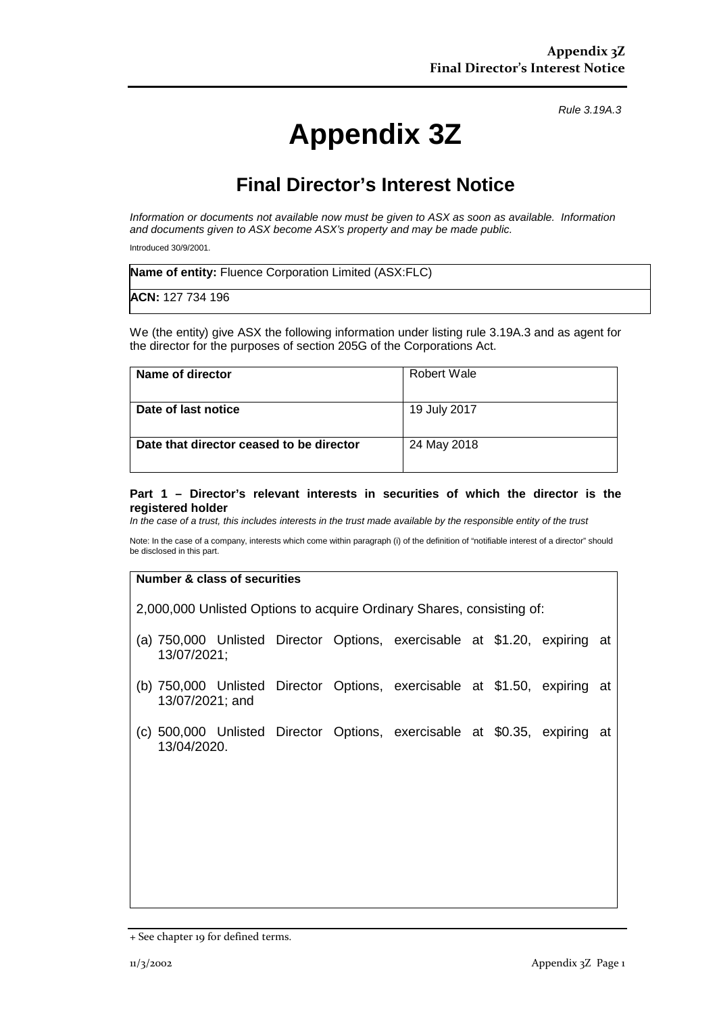*Rule 3.19A.3*

# **Appendix 3Z**

## **Final Director's Interest Notice**

*Information or documents not available now must be given to ASX as soon as available. Information and documents given to ASX become ASX's property and may be made public.*

Introduced 30/9/2001.

| <b>Name of entity:</b> Fluence Corporation Limited (ASX:FLC) |  |
|--------------------------------------------------------------|--|
| <b>ACN:</b> 127 734 196                                      |  |

We (the entity) give ASX the following information under listing rule 3.19A.3 and as agent for the director for the purposes of section 205G of the Corporations Act.

| Name of director                         | Robert Wale  |
|------------------------------------------|--------------|
| Date of last notice                      | 19 July 2017 |
| Date that director ceased to be director | 24 May 2018  |

#### **Part 1 – Director's relevant interests in securities of which the director is the registered holder**

*In the case of a trust, this includes interests in the trust made available by the responsible entity of the trust*

Note: In the case of a company, interests which come within paragraph (i) of the definition of "notifiable interest of a director" should be disclosed in this part.

#### **Number & class of securities**

2,000,000 Unlisted Options to acquire Ordinary Shares, consisting of:

- (a) 750,000 Unlisted Director Options, exercisable at \$1.20, expiring at 13/07/2021;
- (b) 750,000 Unlisted Director Options, exercisable at \$1.50, expiring at 13/07/2021; and
- (c) 500,000 Unlisted Director Options, exercisable at \$0.35, expiring at 13/04/2020.

<sup>+</sup> See chapter 19 for defined terms.